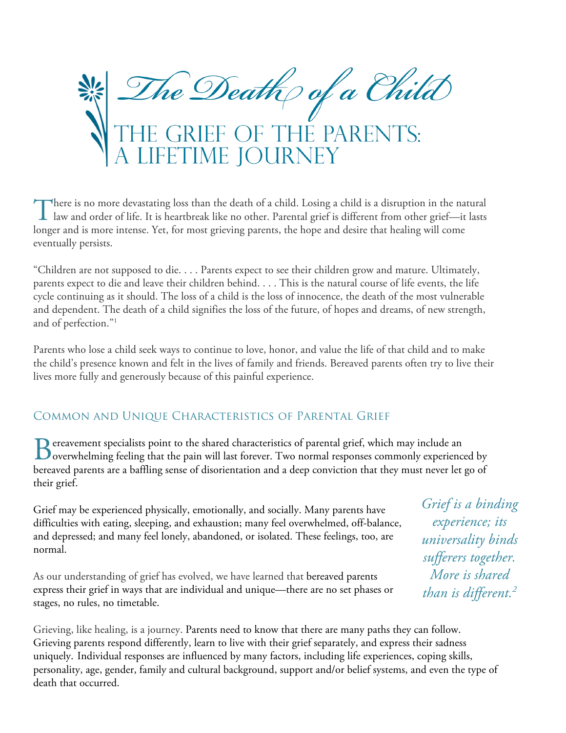

here is no more devastating loss than the death of a child. Losing a child is a disruption in the natural There is no more devastating loss than the death of a child. Losing a child is a disruption in the natural law and order of life. It is heartbreak like no other. Parental grief is different from other grief—it lasts longer and is more intense. Yet, for most grieving parents, the hope and desire that healing will come eventually persists.

"Children are not supposed to die. . . . Parents expect to see their children grow and mature. Ultimately, parents expect to die and leave their children behind. . . . This is the natural course of life events, the life cycle continuing as it should. The loss of a child is the loss of innocence, the death of the most vulnerable and dependent. The death of a child signifies the loss of the future, of hopes and dreams, of new strength, and of perfection."1

Parents who lose a child seek ways to continue to love, honor, and value the life of that child and to make the child's presence known and felt in the lives of family and friends. Bereaved parents often try to live their lives more fully and generously because of this painful experience.

### Common and Unique Characteristics of Parental Grief

ereavement specialists point to the shared characteristics of parental grief, which may include an Between the shared characteristics of parental grief, which may include an overwhelming feeling that the pain will last forever. Two normal responses commonly experienced by bereaved parents are a baffling sense of disorientation and a deep conviction that they must never let go of their grief.

Grief may be experienced physically, emotionally, and socially. Many parents have difficulties with eating, sleeping, and exhaustion; many feel overwhelmed, off-balance, and depressed; and many feel lonely, abandoned, or isolated. These feelings, too, are normal.

As our understanding of grief has evolved, we have learned that bereaved parents express their grief in ways that are individual and unique—there are no set phases or stages, no rules, no timetable.

*Grief is a binding experience; its universality binds sufferers together. More is shared than is different.2*

Grieving, like healing, is a journey. Parents need to know that there are many paths they can follow. Grieving parents respond differently, learn to live with their grief separately, and express their sadness uniquely. Individual responses are influenced by many factors, including life experiences, coping skills, personality, age, gender, family and cultural background, support and/or belief systems, and even the type of death that occurred.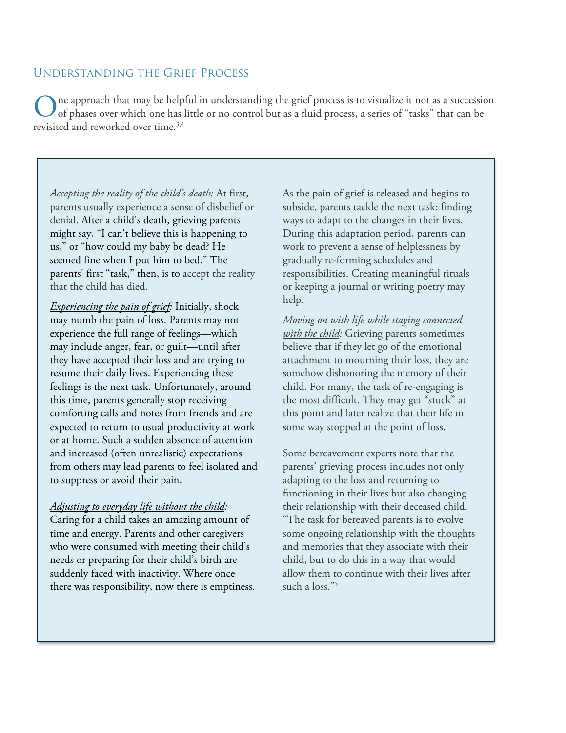#### Understanding the Grief Process

ne approach that may be helpful in understanding the grief process is to visualize it not as a succession of phases over which one has little or no control but as a fluid process, a series of "tasks" that can be revisited and reworked over time.<sup>3,4</sup> O

*Accepting the reality of the child's death:* At first, parents usually experience a sense of disbelief or denial. After a child's death, grieving parents might say, "I can't believe this is happening to us," or "how could my baby be dead? He seemed fine when I put him to bed." The parents' first "task," then, is to accept the reality that the child has died.

*Experiencing the pain of grief:* Initially, shock may numb the pain of loss. Parents may not experience the full range of feelings—which may include anger, fear, or guilt—until after they have accepted their loss and are trying to resume their daily lives. Experiencing these feelings is the next task. Unfortunately, around this time, parents generally stop receiving comforting calls and notes from friends and are expected to return to usual productivity at work or at home. Such a sudden absence of attention and increased (often unrealistic) expectations from others may lead parents to feel isolated and to suppress or avoid their pain.

*Adjusting to everyday life without the child:* Caring for a child takes an amazing amount of time and energy. Parents and other caregivers who were consumed with meeting their child's needs or preparing for their child's birth are suddenly faced with inactivity. Where once there was responsibility, now there is emptiness. As the pain of grief is released and begins to subside, parents tackle the next task: finding ways to adapt to the changes in their lives. During this adaptation period, parents can work to prevent a sense of helplessness by gradually re-forming schedules and responsibilities. Creating meaningful rituals or keeping a journal or writing poetry may help.

*Moving on with life while staying connected with the child:* Grieving parents sometimes believe that if they let go of the emotional attachment to mourning their loss, they are somehow dishonoring the memory of their child. For many, the task of re-engaging is the most difficult. They may get "stuck" at this point and later realize that their life in some way stopped at the point of loss.

Some bereavement experts note that the parents' grieving process includes not only adapting to the loss and returning to functioning in their lives but also changing their relationship with their deceased child. "The task for bereaved parents is to evolve some ongoing relationship with the thoughts and memories that they associate with their child, but to do this in a way that would allow them to continue with their lives after such a loss."<sup>5</sup>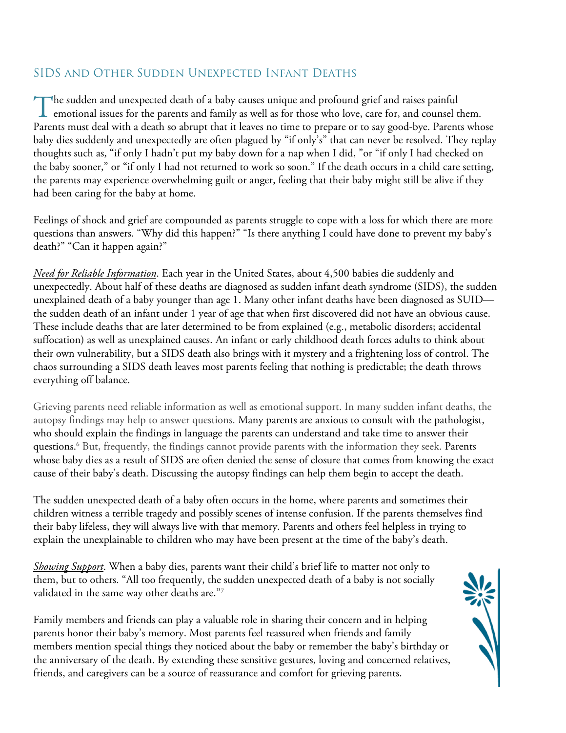## SIDS and Other Sudden Unexpected Infant Deaths

The sudden and unexpected death of a baby causes unique and profound grief and raises painful The sudden and unexpected death of a baby causes unique and profound grief and raises painful<br>emotional issues for the parents and family as well as for those who love, care for, and counsel them. Parents must deal with a death so abrupt that it leaves no time to prepare or to say good-bye. Parents whose baby dies suddenly and unexpectedly are often plagued by "if only's" that can never be resolved. They replay thoughts such as, "if only I hadn't put my baby down for a nap when I did, "or "if only I had checked on the baby sooner," or "if only I had not returned to work so soon." If the death occurs in a child care setting, the parents may experience overwhelming guilt or anger, feeling that their baby might still be alive if they had been caring for the baby at home.

Feelings of shock and grief are compounded as parents struggle to cope with a loss for which there are more questions than answers. "Why did this happen?" "Is there anything I could have done to prevent my baby's death?" "Can it happen again?"

*Need for Reliable Information*. Each year in the United States, about 4,500 babies die suddenly and unexpectedly. About half of these deaths are diagnosed as sudden infant death syndrome (SIDS), the sudden unexplained death of a baby younger than age 1. Many other infant deaths have been diagnosed as SUID the sudden death of an infant under 1 year of age that when first discovered did not have an obvious cause. These include deaths that are later determined to be from explained (e.g., metabolic disorders; accidental suffocation) as well as unexplained causes. An infant or early childhood death forces adults to think about their own vulnerability, but a SIDS death also brings with it mystery and a frightening loss of control. The chaos surrounding a SIDS death leaves most parents feeling that nothing is predictable; the death throws everything off balance.

Grieving parents need reliable information as well as emotional support. In many sudden infant deaths, the autopsy findings may help to answer questions. Many parents are anxious to consult with the pathologist, who should explain the findings in language the parents can understand and take time to answer their questions.6 But, frequently, the findings cannot provide parents with the information they seek. Parents whose baby dies as a result of SIDS are often denied the sense of closure that comes from knowing the exact cause of their baby's death. Discussing the autopsy findings can help them begin to accept the death.

The sudden unexpected death of a baby often occurs in the home, where parents and sometimes their children witness a terrible tragedy and possibly scenes of intense confusion. If the parents themselves find their baby lifeless, they will always live with that memory. Parents and others feel helpless in trying to explain the unexplainable to children who may have been present at the time of the baby's death.

*Showing Support*. When a baby dies, parents want their child's brief life to matter not only to them, but to others. "All too frequently, the sudden unexpected death of a baby is not socially validated in the same way other deaths are."7

Family members and friends can play a valuable role in sharing their concern and in helping parents honor their baby's memory. Most parents feel reassured when friends and family members mention special things they noticed about the baby or remember the baby's birthday or the anniversary of the death. By extending these sensitive gestures, loving and concerned relatives, friends, and caregivers can be a source of reassurance and comfort for grieving parents.

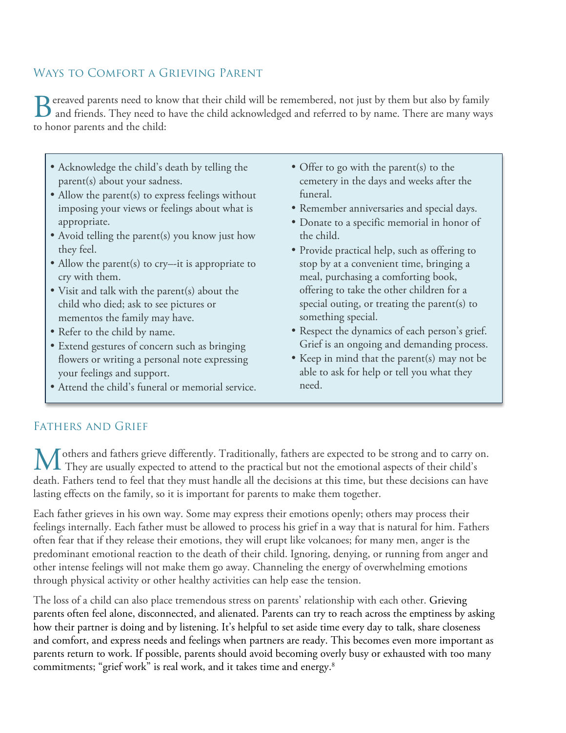## Ways to Comfort a Grieving Parent

Bereaved parents need to know that their child will be remembered, not just by them but also by family and friends. They need to have the child acknowledged and referred to by name. There are many ways and friends. They need to have the child acknowledged and referred to by name. There are many ways to honor parents and the child:

- Acknowledge the child's death by telling the parent(s) about your sadness.
- Allow the parent(s) to express feelings without imposing your views or feelings about what is appropriate.
- Avoid telling the parent(s) you know just how they feel.
- Allow the parent(s) to cry—it is appropriate to cry with them.
- Visit and talk with the parent(s) about the child who died; ask to see pictures or mementos the family may have.
- Refer to the child by name.
- Extend gestures of concern such as bringing flowers or writing a personal note expressing your feelings and support.
- Attend the child's funeral or memorial service.
- Offer to go with the parent(s) to the cemetery in the days and weeks after the funeral.
- Remember anniversaries and special days.
- Donate to a specific memorial in honor of the child.
- Provide practical help, such as offering to stop by at a convenient time, bringing a meal, purchasing a comforting book, offering to take the other children for a special outing, or treating the parent(s) to something special.
- Respect the dynamics of each person's grief. Grief is an ongoing and demanding process.
- Keep in mind that the parent(s) may not be able to ask for help or tell you what they need.

### Fathers and Grief

others and fathers grieve differently. Traditionally, fathers are expected to be strong and to carry on. M others and fathers grieve differently. Traditionally, fathers are expected to be strong and to carry of their child's They are usually expected to attend to the practical but not the emotional aspects of their child's  $\$ death. Fathers tend to feel that they must handle all the decisions at this time, but these decisions can have lasting effects on the family, so it is important for parents to make them together.

Each father grieves in his own way. Some may express their emotions openly; others may process their feelings internally. Each father must be allowed to process his grief in a way that is natural for him. Fathers often fear that if they release their emotions, they will erupt like volcanoes; for many men, anger is the predominant emotional reaction to the death of their child. Ignoring, denying, or running from anger and other intense feelings will not make them go away. Channeling the energy of overwhelming emotions through physical activity or other healthy activities can help ease the tension.

The loss of a child can also place tremendous stress on parents' relationship with each other. Grieving parents often feel alone, disconnected, and alienated. Parents can try to reach across the emptiness by asking how their partner is doing and by listening. It's helpful to set aside time every day to talk, share closeness and comfort, and express needs and feelings when partners are ready. This becomes even more important as parents return to work. If possible, parents should avoid becoming overly busy or exhausted with too many commitments; "grief work" is real work, and it takes time and energy. $^8$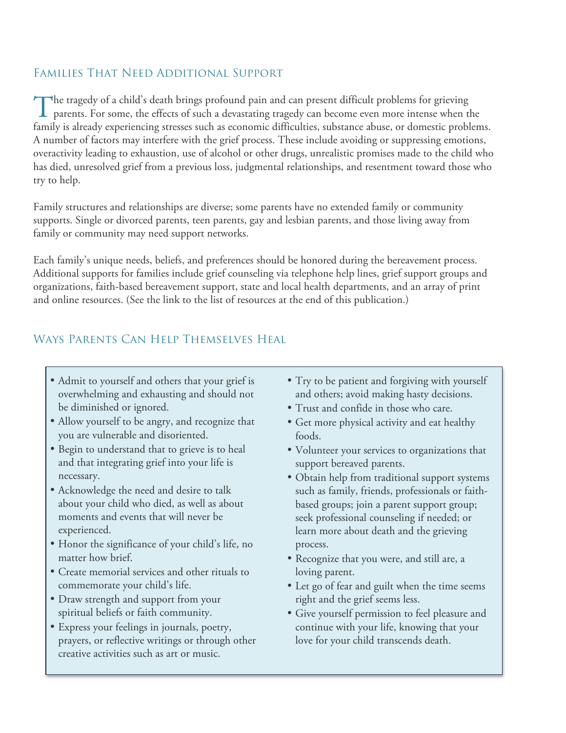### Families That Need Additional Support

 $\blacksquare$  he tragedy of a child's death brings profound pain and can present difficult problems for grieving The tragedy of a child's death brings profound pain and can present difficult problems for grieving<br>parents. For some, the effects of such a devastating tragedy can become even more intense when the family is already experiencing stresses such as economic difficulties, substance abuse, or domestic problems. A number of factors may interfere with the grief process. These include avoiding or suppressing emotions, overactivity leading to exhaustion, use of alcohol or other drugs, unrealistic promises made to the child who has died, unresolved grief from a previous loss, judgmental relationships, and resentment toward those who try to help.

Family structures and relationships are diverse; some parents have no extended family or community supports. Single or divorced parents, teen parents, gay and lesbian parents, and those living away from family or community may need support networks.

Each family's unique needs, beliefs, and preferences should be honored during the bereavement process. Additional supports for families include grief counseling via telephone help lines, grief support groups and organizations, faith-based bereavement support, state and local health departments, and an array of print and online resources. (See the link to the list of resources at the end of this publication.)

# Ways Parents Can Help Themselves Heal

- Admit to yourself and others that your grief is overwhelming and exhausting and should not be diminished or ignored.
- Allow yourself to be angry, and recognize that you are vulnerable and disoriented.
- Begin to understand that to grieve is to heal and that integrating grief into your life is necessary.
- Acknowledge the need and desire to talk about your child who died, as well as about moments and events that will never be experienced.
- Honor the significance of your child's life, no matter how brief.
- Create memorial services and other rituals to commemorate your child's life.
- Draw strength and support from your spiritual beliefs or faith community.
- Express your feelings in journals, poetry, prayers, or reflective writings or through other creative activities such as art or music.
- Try to be patient and forgiving with yourself and others; avoid making hasty decisions.
- Trust and confide in those who care.
- Get more physical activity and eat healthy foods.
- Volunteer your services to organizations that support bereaved parents.
- Obtain help from traditional support systems such as family, friends, professionals or faithbased groups; join a parent support group; seek professional counseling if needed; or learn more about death and the grieving process.
- Recognize that you were, and still are, a loving parent.
- Let go of fear and guilt when the time seems right and the grief seems less.
- Give yourself permission to feel pleasure and continue with your life, knowing that your love for your child transcends death.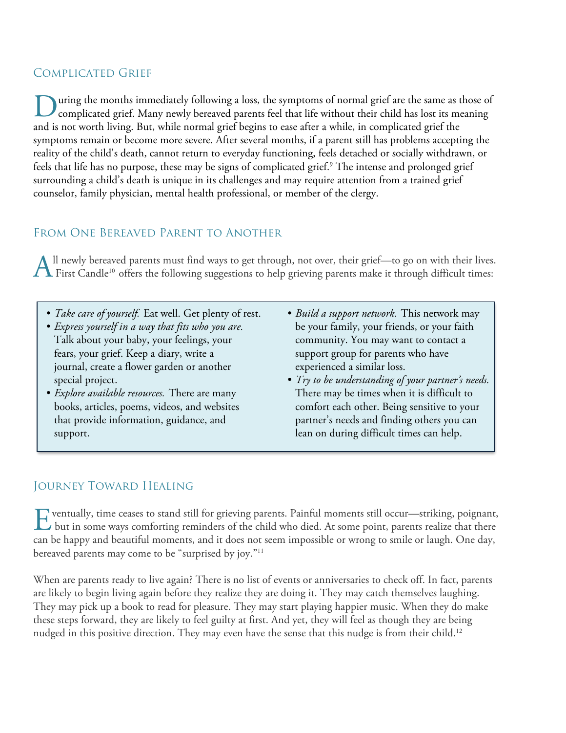## Complicated Grief

uring the months immediately following a loss, the symptoms of normal grief are the same as those of complicated grief. Many newly bereaved parents feel that life without their child has lost its meaning and is not worth living. But, while normal grief begins to ease after a while, in complicated grief the symptoms remain or become more severe. After several months, if a parent still has problems accepting the reality of the child's death, cannot return to everyday functioning, feels detached or socially withdrawn, or feels that life has no purpose, these may be signs of complicated grief.<sup>9</sup> The intense and prolonged grief surrounding a child's death is unique in its challenges and may require attention from a trained grief counselor, family physician, mental health professional, or member of the clergy. D

# From One Bereaved Parent to Another

ll newly bereaved parents must find ways to get through, not over, their grief—to go on with their lives. All newly bereaved parents must find ways to get through, not over, their grief—to go on with their lives<br>First Candle<sup>10</sup> offers the following suggestions to help grieving parents make it through difficult times:

- *• Take care of yourself.* Eat well. Get plenty of rest.
- *• Express yourself in a way that fits who you are.*  Talk about your baby, your feelings, your fears, your grief. Keep a diary, write a journal, create a flower garden or another special project.
- *• Explore available resources.* There are many books, articles, poems, videos, and websites that provide information, guidance, and support.
- *• Build a support network.* This network may be your family, your friends, or your faith community. You may want to contact a support group for parents who have experienced a similar loss.
- *• Try to be understanding of your partner's needs.*  There may be times when it is difficult to comfort each other. Being sensitive to your partner's needs and finding others you can lean on during difficult times can help.

#### Journey Toward Healing

ventually, time ceases to stand still for grieving parents. Painful moments still occur—striking, poignant, F ventually, time ceases to stand still for grieving parents. Painful moments still occur—striking, poignant, but in some ways comforting reminders of the child who died. At some point, parents realize that there can be happy and beautiful moments, and it does not seem impossible or wrong to smile or laugh. One day, bereaved parents may come to be "surprised by joy."11

When are parents ready to live again? There is no list of events or anniversaries to check off. In fact, parents are likely to begin living again before they realize they are doing it. They may catch themselves laughing. They may pick up a book to read for pleasure. They may start playing happier music. When they do make these steps forward, they are likely to feel guilty at first. And yet, they will feel as though they are being nudged in this positive direction. They may even have the sense that this nudge is from their child.<sup>12</sup>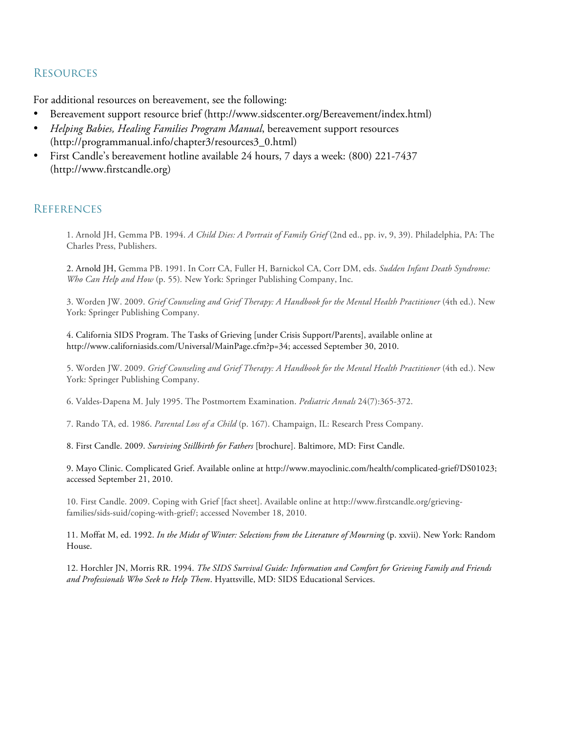#### **RESOURCES**

For additional resources on bereavement, see the following:

- Bereavement support resource brief (http://www.sidscenter.org/Bereavement/index.html)
- *Helping Babies, Healing Families Program Manual*, bereavement support resources (http://programmanual.info/chapter3/resources3\_0.html)
- First Candle's bereavement hotline available 24 hours, 7 days a week: (800) 221-7437 (http://www.firstcandle.org)

#### **REFERENCES**

1. Arnold JH, Gemma PB. 1994. *A Child Dies: A Portrait of Family Grief* (2nd ed., pp. iv, 9, 39). Philadelphia, PA: The Charles Press, Publishers.

2. Arnold JH, Gemma PB. 1991. In Corr CA, Fuller H, Barnickol CA, Corr DM, eds. *Sudden Infant Death Syndrome: Who Can Help and How* (p. 55)*.* New York: Springer Publishing Company, Inc.

3. Worden JW. 2009. *Grief Counseling and Grief Therapy: A Handbook for the Mental Health Practitioner* (4th ed.). New York: Springer Publishing Company.

4. California SIDS Program. The Tasks of Grieving [under Crisis Support/Parents], available online at http://www.californiasids.com/Universal/MainPage.cfm?p=34; accessed September 30, 2010.

5. Worden JW. 2009. *Grief Counseling and Grief Therapy: A Handbook for the Mental Health Practitioner* (4th ed.). New York: Springer Publishing Company.

6. Valdes-Dapena M. July 1995. The Postmortem Examination. *Pediatric Annals* 24(7):365-372.

7. Rando TA, ed. 1986. *Parental Loss of a Child* (p. 167). Champaign, IL: Research Press Company.

8. First Candle. 2009. *Surviving Stillbirth for Fathers* [brochure]. Baltimore, MD: First Candle.

9. Mayo Clinic. Complicated Grief. Available online at http://www.mayoclinic.com/health/complicated-grief/DS01023; accessed September 21, 2010.

10. First Candle. 2009. Coping with Grief [fact sheet]. Available online at http://www.firstcandle.org/grievingfamilies/sids-suid/coping-with-grief/; accessed November 18, 2010.

11. Moffat M, ed. 1992. *In the Midst of Winter: Selections from the Literature of Mourning* (p. xxvii). New York: Random House.

12. Horchler JN, Morris RR. 1994. *The SIDS Survival Guide: Information and Comfort for Grieving Family and Friends and Professionals Who Seek to Help Them*. Hyattsville, MD: SIDS Educational Services.